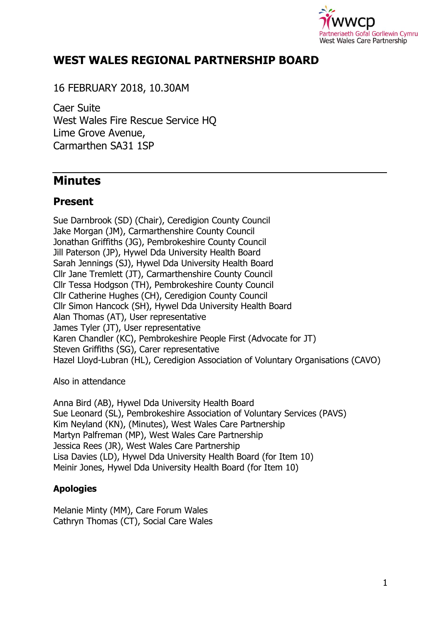

# **WEST WALES REGIONAL PARTNERSHIP BOARD**

16 FEBRUARY 2018, 10.30AM

Caer Suite West Wales Fire Rescue Service HQ Lime Grove Avenue, Carmarthen SA31 1SP

# **Minutes**

# **Present**

Sue Darnbrook (SD) (Chair), Ceredigion County Council Jake Morgan (JM), Carmarthenshire County Council Jonathan Griffiths (JG), Pembrokeshire County Council Jill Paterson (JP), Hywel Dda University Health Board Sarah Jennings (SJ), Hywel Dda University Health Board Cllr Jane Tremlett (JT), Carmarthenshire County Council Cllr Tessa Hodgson (TH), Pembrokeshire County Council Cllr Catherine Hughes (CH), Ceredigion County Council Cllr Simon Hancock (SH), Hywel Dda University Health Board Alan Thomas (AT), User representative James Tyler (JT), User representative Karen Chandler (KC), Pembrokeshire People First (Advocate for JT) Steven Griffiths (SG), Carer representative Hazel Lloyd-Lubran (HL), Ceredigion Association of Voluntary Organisations (CAVO)

Also in attendance

Anna Bird (AB), Hywel Dda University Health Board Sue Leonard (SL), Pembrokeshire Association of Voluntary Services (PAVS) Kim Neyland (KN), (Minutes), West Wales Care Partnership Martyn Palfreman (MP), West Wales Care Partnership Jessica Rees (JR), West Wales Care Partnership Lisa Davies (LD), Hywel Dda University Health Board (for Item 10) Meinir Jones, Hywel Dda University Health Board (for Item 10)

### **Apologies**

Melanie Minty (MM), Care Forum Wales Cathryn Thomas (CT), Social Care Wales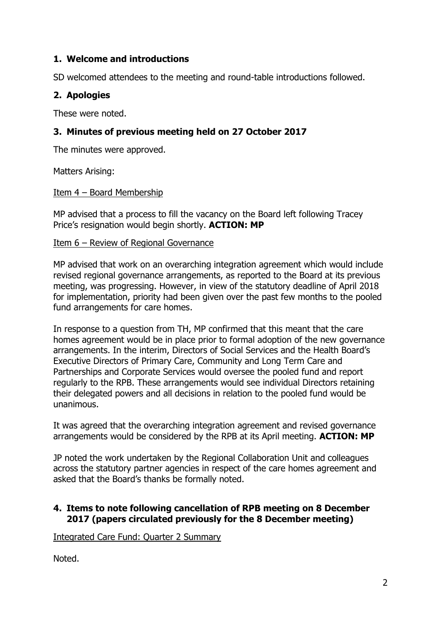### **1. Welcome and introductions**

SD welcomed attendees to the meeting and round-table introductions followed.

### **2. Apologies**

These were noted.

### **3. Minutes of previous meeting held on 27 October 2017**

The minutes were approved.

Matters Arising:

#### Item 4 – Board Membership

MP advised that a process to fill the vacancy on the Board left following Tracey Price's resignation would begin shortly. **ACTION: MP**

#### Item 6 – Review of Regional Governance

MP advised that work on an overarching integration agreement which would include revised regional governance arrangements, as reported to the Board at its previous meeting, was progressing. However, in view of the statutory deadline of April 2018 for implementation, priority had been given over the past few months to the pooled fund arrangements for care homes.

In response to a question from TH, MP confirmed that this meant that the care homes agreement would be in place prior to formal adoption of the new governance arrangements. In the interim, Directors of Social Services and the Health Board's Executive Directors of Primary Care, Community and Long Term Care and Partnerships and Corporate Services would oversee the pooled fund and report regularly to the RPB. These arrangements would see individual Directors retaining their delegated powers and all decisions in relation to the pooled fund would be unanimous.

It was agreed that the overarching integration agreement and revised governance arrangements would be considered by the RPB at its April meeting. **ACTION: MP**

JP noted the work undertaken by the Regional Collaboration Unit and colleagues across the statutory partner agencies in respect of the care homes agreement and asked that the Board's thanks be formally noted.

#### **4. Items to note following cancellation of RPB meeting on 8 December 2017 (papers circulated previously for the 8 December meeting)**

Integrated Care Fund: Quarter 2 Summary

Noted.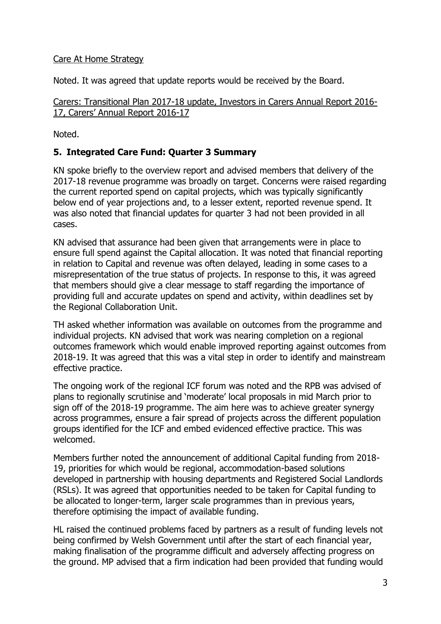### Care At Home Strategy

Noted. It was agreed that update reports would be received by the Board.

Carers: Transitional Plan 2017-18 update, Investors in Carers Annual Report 2016- 17, Carers' Annual Report 2016-17

Noted.

### **5. Integrated Care Fund: Quarter 3 Summary**

KN spoke briefly to the overview report and advised members that delivery of the 2017-18 revenue programme was broadly on target. Concerns were raised regarding the current reported spend on capital projects, which was typically significantly below end of year projections and, to a lesser extent, reported revenue spend. It was also noted that financial updates for quarter 3 had not been provided in all cases.

KN advised that assurance had been given that arrangements were in place to ensure full spend against the Capital allocation. It was noted that financial reporting in relation to Capital and revenue was often delayed, leading in some cases to a misrepresentation of the true status of projects. In response to this, it was agreed that members should give a clear message to staff regarding the importance of providing full and accurate updates on spend and activity, within deadlines set by the Regional Collaboration Unit.

TH asked whether information was available on outcomes from the programme and individual projects. KN advised that work was nearing completion on a regional outcomes framework which would enable improved reporting against outcomes from 2018-19. It was agreed that this was a vital step in order to identify and mainstream effective practice.

The ongoing work of the regional ICF forum was noted and the RPB was advised of plans to regionally scrutinise and 'moderate' local proposals in mid March prior to sign off of the 2018-19 programme. The aim here was to achieve greater synergy across programmes, ensure a fair spread of projects across the different population groups identified for the ICF and embed evidenced effective practice. This was welcomed.

Members further noted the announcement of additional Capital funding from 2018- 19, priorities for which would be regional, accommodation-based solutions developed in partnership with housing departments and Registered Social Landlords (RSLs). It was agreed that opportunities needed to be taken for Capital funding to be allocated to longer-term, larger scale programmes than in previous years, therefore optimising the impact of available funding.

HL raised the continued problems faced by partners as a result of funding levels not being confirmed by Welsh Government until after the start of each financial year, making finalisation of the programme difficult and adversely affecting progress on the ground. MP advised that a firm indication had been provided that funding would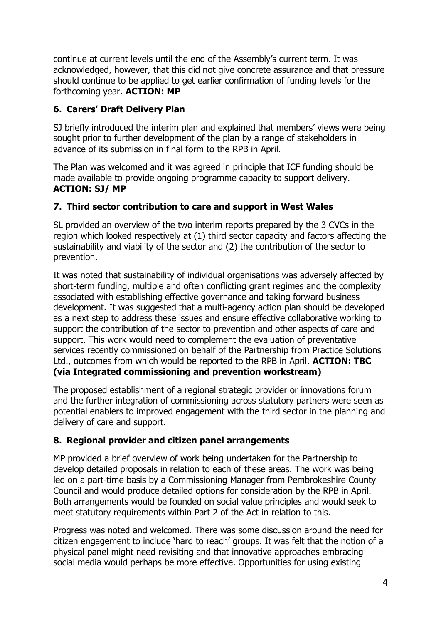continue at current levels until the end of the Assembly's current term. It was acknowledged, however, that this did not give concrete assurance and that pressure should continue to be applied to get earlier confirmation of funding levels for the forthcoming year. **ACTION: MP**

# **6. Carers' Draft Delivery Plan**

SJ briefly introduced the interim plan and explained that members' views were being sought prior to further development of the plan by a range of stakeholders in advance of its submission in final form to the RPB in April.

The Plan was welcomed and it was agreed in principle that ICF funding should be made available to provide ongoing programme capacity to support delivery. **ACTION: SJ/ MP**

### **7. Third sector contribution to care and support in West Wales**

SL provided an overview of the two interim reports prepared by the 3 CVCs in the region which looked respectively at (1) third sector capacity and factors affecting the sustainability and viability of the sector and (2) the contribution of the sector to prevention.

It was noted that sustainability of individual organisations was adversely affected by short-term funding, multiple and often conflicting grant regimes and the complexity associated with establishing effective governance and taking forward business development. It was suggested that a multi-agency action plan should be developed as a next step to address these issues and ensure effective collaborative working to support the contribution of the sector to prevention and other aspects of care and support. This work would need to complement the evaluation of preventative services recently commissioned on behalf of the Partnership from Practice Solutions Ltd., outcomes from which would be reported to the RPB in April. **ACTION: TBC (via Integrated commissioning and prevention workstream)**

The proposed establishment of a regional strategic provider or innovations forum and the further integration of commissioning across statutory partners were seen as potential enablers to improved engagement with the third sector in the planning and delivery of care and support.

# **8. Regional provider and citizen panel arrangements**

MP provided a brief overview of work being undertaken for the Partnership to develop detailed proposals in relation to each of these areas. The work was being led on a part-time basis by a Commissioning Manager from Pembrokeshire County Council and would produce detailed options for consideration by the RPB in April. Both arrangements would be founded on social value principles and would seek to meet statutory requirements within Part 2 of the Act in relation to this.

Progress was noted and welcomed. There was some discussion around the need for citizen engagement to include 'hard to reach' groups. It was felt that the notion of a physical panel might need revisiting and that innovative approaches embracing social media would perhaps be more effective. Opportunities for using existing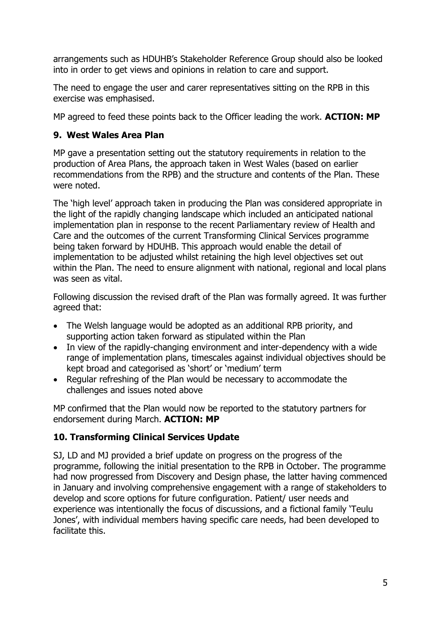arrangements such as HDUHB's Stakeholder Reference Group should also be looked into in order to get views and opinions in relation to care and support.

The need to engage the user and carer representatives sitting on the RPB in this exercise was emphasised.

MP agreed to feed these points back to the Officer leading the work. **ACTION: MP**

### **9. West Wales Area Plan**

MP gave a presentation setting out the statutory requirements in relation to the production of Area Plans, the approach taken in West Wales (based on earlier recommendations from the RPB) and the structure and contents of the Plan. These were noted.

The 'high level' approach taken in producing the Plan was considered appropriate in the light of the rapidly changing landscape which included an anticipated national implementation plan in response to the recent Parliamentary review of Health and Care and the outcomes of the current Transforming Clinical Services programme being taken forward by HDUHB. This approach would enable the detail of implementation to be adjusted whilst retaining the high level objectives set out within the Plan. The need to ensure alignment with national, regional and local plans was seen as vital.

Following discussion the revised draft of the Plan was formally agreed. It was further agreed that:

- The Welsh language would be adopted as an additional RPB priority, and supporting action taken forward as stipulated within the Plan
- In view of the rapidly-changing environment and inter-dependency with a wide range of implementation plans, timescales against individual objectives should be kept broad and categorised as 'short' or 'medium' term
- Regular refreshing of the Plan would be necessary to accommodate the challenges and issues noted above

MP confirmed that the Plan would now be reported to the statutory partners for endorsement during March. **ACTION: MP**

### **10. Transforming Clinical Services Update**

SJ, LD and MJ provided a brief update on progress on the progress of the programme, following the initial presentation to the RPB in October. The programme had now progressed from Discovery and Design phase, the latter having commenced in January and involving comprehensive engagement with a range of stakeholders to develop and score options for future configuration. Patient/ user needs and experience was intentionally the focus of discussions, and a fictional family 'Teulu Jones', with individual members having specific care needs, had been developed to facilitate this.